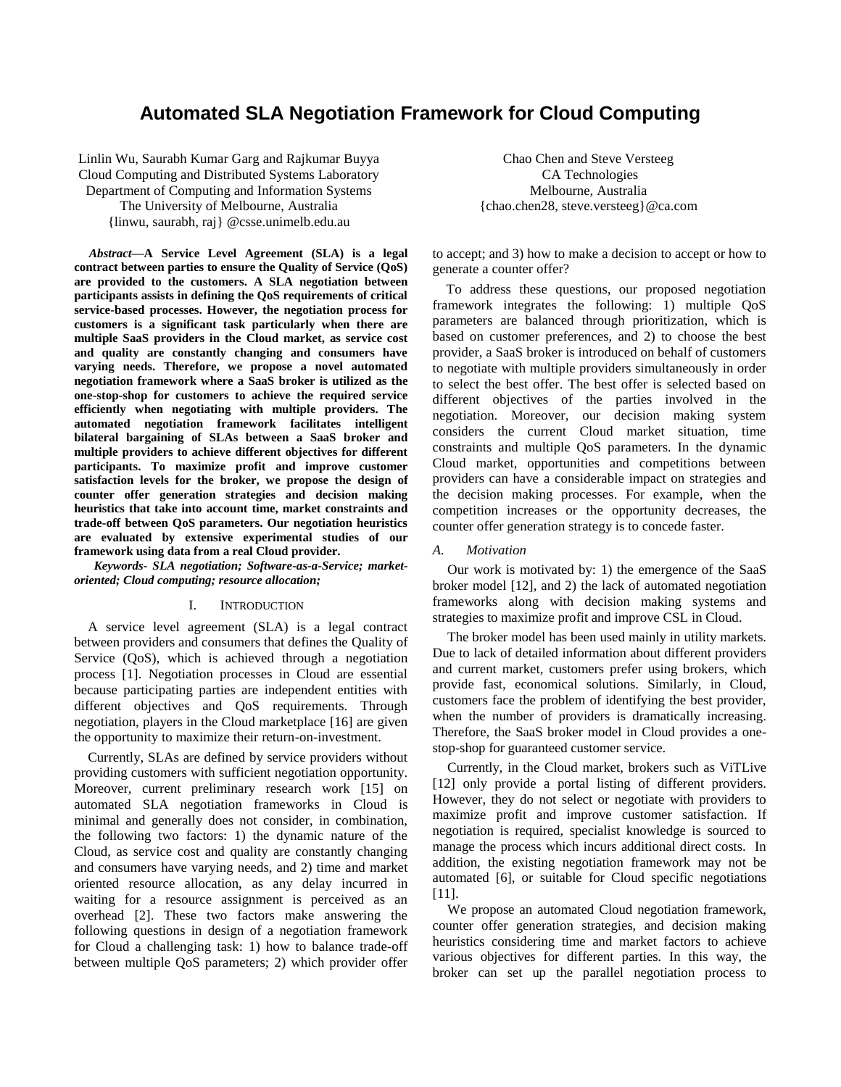# **Automated SLA Negotiation Framework for Cloud Computing**

Linlin Wu, Saurabh Kumar Garg and Rajkumar Buyya Cloud Computing and Distributed Systems Laboratory Department of Computing and Information Systems The University of Melbourne, Australia {linwu, saurabh, [raj} @csse.unimelb.edu.au](mailto:raj%7d@csse.unimelb.edu.au)

*Abstract***—A Service Level Agreement (SLA) is a legal contract between parties to ensure the Quality of Service (QoS) are provided to the customers. A SLA negotiation between participants assists in defining the QoS requirements of critical service-based processes. However, the negotiation process for customers is a significant task particularly when there are multiple SaaS providers in the Cloud market, as service cost and quality are constantly changing and consumers have varying needs. Therefore, we propose a novel automated negotiation framework where a SaaS broker is utilized as the one-stop-shop for customers to achieve the required service efficiently when negotiating with multiple providers. The automated negotiation framework facilitates intelligent bilateral bargaining of SLAs between a SaaS broker and multiple providers to achieve different objectives for different participants. To maximize profit and improve customer satisfaction levels for the broker, we propose the design of counter offer generation strategies and decision making heuristics that take into account time, market constraints and trade-off between QoS parameters. Our negotiation heuristics are evaluated by extensive experimental studies of our framework using data from a real Cloud provider.**

*Keywords- SLA negotiation; Software-as-a-Service; marketoriented; Cloud computing; resource allocation;*

# I. INTRODUCTION

 A service level agreement (SLA) is a legal contract between providers and consumers that defines the Quality of Service (QoS), which is achieved through a negotiation process [\[1\].](#page-7-0) Negotiation processes in Cloud are essential because participating parties are independent entities with different objectives and QoS requirements. Through negotiation, players in the Cloud marketplace [\[16\]](#page-7-1) are given the opportunity to maximize their return-on-investment.

 Currently, SLAs are defined by service providers without providing customers with sufficient negotiation opportunity. Moreover, current preliminary research work [\[15\]](#page-7-2) on automated SLA negotiation frameworks in Cloud is minimal and generally does not consider, in combination, the following two factors: 1) the dynamic nature of the Cloud, as service cost and quality are constantly changing and consumers have varying needs, and 2) time and market oriented resource allocation, as any delay incurred in waiting for a resource assignment is perceived as an overhead [\[2\].](#page-7-3) These two factors make answering the following questions in design of a negotiation framework for Cloud a challenging task: 1) how to balance trade-off between multiple QoS parameters; 2) which provider offer

Chao Chen and Steve Versteeg CA Technologies Melbourne, Australia {chao.chen28, steve.versteeg}@ca.com

to accept; and 3) how to make a decision to accept or how to generate a counter offer?

 To address these questions, our proposed negotiation framework integrates the following: 1) multiple QoS parameters are balanced through prioritization, which is based on customer preferences, and 2) to choose the best provider, a SaaS broker is introduced on behalf of customers to negotiate with multiple providers simultaneously in order to select the best offer. The best offer is selected based on different objectives of the parties involved in the negotiation. Moreover, our decision making system considers the current Cloud market situation, time constraints and multiple QoS parameters. In the dynamic Cloud market, opportunities and competitions between providers can have a considerable impact on strategies and the decision making processes. For example, when the competition increases or the opportunity decreases, the counter offer generation strategy is to concede faster.

# *A. Motivation*

Our work is motivated by: 1) the emergence of the SaaS broker model [\[12\],](#page-7-4) and 2) the lack of automated negotiation frameworks along with decision making systems and strategies to maximize profit and improve CSL in Cloud.

The broker model has been used mainly in utility markets. Due to lack of detailed information about different providers and current market, customers prefer using brokers, which provide fast, economical solutions. Similarly, in Cloud, customers face the problem of identifying the best provider, when the number of providers is dramatically increasing. Therefore, the SaaS broker model in Cloud provides a onestop-shop for guaranteed customer service.

Currently, in the Cloud market, brokers such as ViTLive [\[12\]](#page-7-4) only provide a portal listing of different providers. However, they do not select or negotiate with providers to maximize profit and improve customer satisfaction. If negotiation is required, specialist knowledge is sourced to manage the process which incurs additional direct costs. In addition, the existing negotiation framework may not be automated [\[6\],](#page-7-5) or suitable for Cloud specific negotiations [\[11\].](#page-7-6)

We propose an automated Cloud negotiation framework, counter offer generation strategies, and decision making heuristics considering time and market factors to achieve various objectives for different parties. In this way, the broker can set up the parallel negotiation process to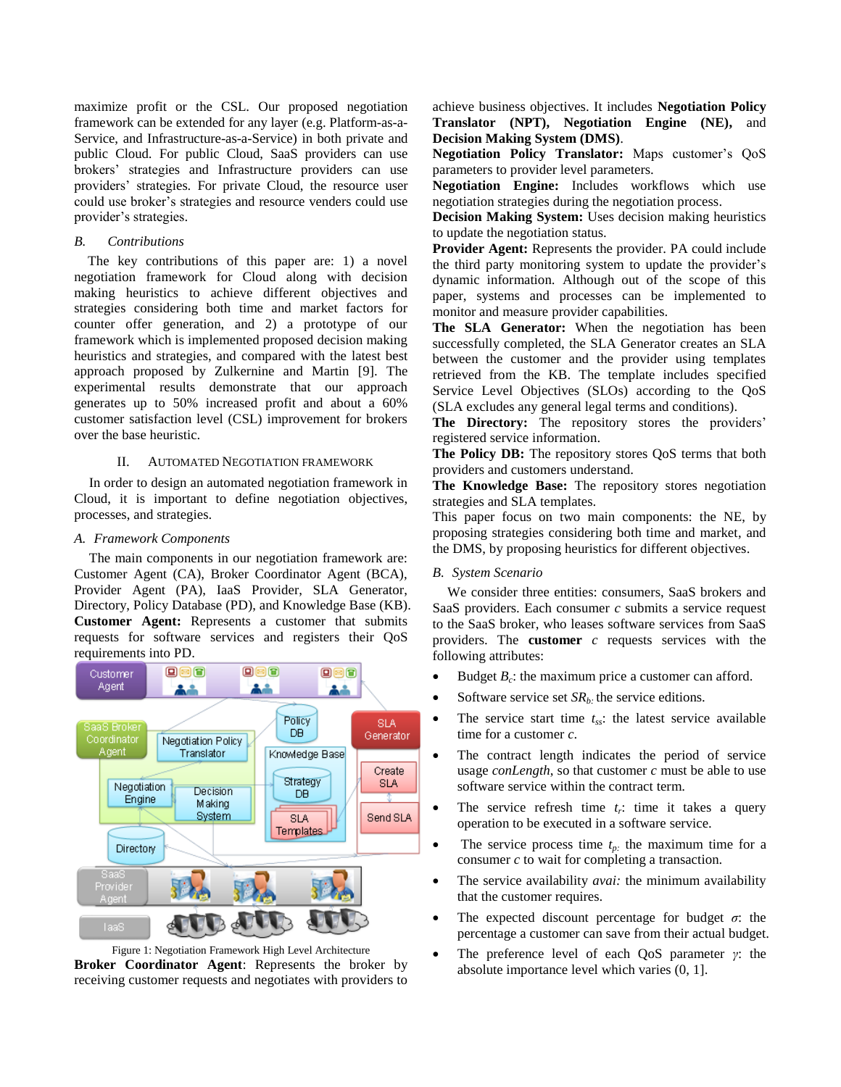maximize profit or the CSL. Our proposed negotiation framework can be extended for any layer (e.g. Platform-as-a-Service, and Infrastructure-as-a-Service) in both private and public Cloud. For public Cloud, SaaS providers can use brokers" strategies and Infrastructure providers can use providers" strategies. For private Cloud, the resource user could use broker"s strategies and resource venders could use provider"s strategies.

# *B. Contributions*

 The key contributions of this paper are: 1) a novel negotiation framework for Cloud along with decision making heuristics to achieve different objectives and strategies considering both time and market factors for counter offer generation, and 2) a prototype of our framework which is implemented proposed decision making heuristics and strategies, and compared with the latest best approach proposed by Zulkernine and Martin [\[9\].](#page-7-7) The experimental results demonstrate that our approach generates up to 50% increased profit and about a 60% customer satisfaction level (CSL) improvement for brokers over the base heuristic.

# II. AUTOMATED NEGOTIATION FRAMEWORK

In order to design an automated negotiation framework in Cloud, it is important to define negotiation objectives, processes, and strategies.

# *A. Framework Components*

The main components in our negotiation framework are: Customer Agent (CA), Broker Coordinator Agent (BCA), Provider Agent (PA), IaaS Provider, SLA Generator, Directory, Policy Database (PD), and Knowledge Base (KB). **Customer Agent:** Represents a customer that submits requests for software services and registers their QoS requirements into PD.



Figure 1: Negotiation Framework High Level Architecture **Broker Coordinator Agent**: Represents the broker by receiving customer requests and negotiates with providers to

achieve business objectives. It includes **Negotiation Policy Translator (NPT), Negotiation Engine (NE),** and **Decision Making System (DMS)**.

Negotiation Policy Translator: Maps customer's QoS parameters to provider level parameters.

**Negotiation Engine:** Includes workflows which use negotiation strategies during the negotiation process.

**Decision Making System:** Uses decision making heuristics to update the negotiation status.

**Provider Agent:** Represents the provider. PA could include the third party monitoring system to update the provider"s dynamic information. Although out of the scope of this paper, systems and processes can be implemented to monitor and measure provider capabilities.

**The SLA Generator:** When the negotiation has been successfully completed, the SLA Generator creates an SLA between the customer and the provider using templates retrieved from the KB. The template includes specified Service Level Objectives (SLOs) according to the QoS (SLA excludes any general legal terms and conditions).

The Directory: The repository stores the providers' registered service information.

**The Policy DB:** The repository stores QoS terms that both providers and customers understand.

**The Knowledge Base:** The repository stores negotiation strategies and SLA templates.

This paper focus on two main components: the NE, by proposing strategies considering both time and market, and the DMS, by proposing heuristics for different objectives.

# *B. System Scenario*

We consider three entities: consumers, SaaS brokers and SaaS providers. Each consumer *c* submits a service request to the SaaS broker, who leases software services from SaaS providers. The **customer** *c* requests services with the following attributes:

- $\bullet$  Budget  $B_c$ : the maximum price a customer can afford.
- Software service set *SRb:* the service editions.
- The service start time  $t_{ss}$ : the latest service available time for a customer *c*.
- The contract length indicates the period of service usage *conLength*, so that customer *c* must be able to use software service within the contract term.
- The service refresh time  $t_r$ : time it takes a query operation to be executed in a software service.
- The service process time  $t_p$ : the maximum time for a consumer *c* to wait for completing a transaction.
- The service availability *avai:* the minimum availability that the customer requires.
- The expected discount percentage for budget *σ*: the percentage a customer can save from their actual budget.
- The preference level of each QoS parameter *γ*: the absolute importance level which varies (0, 1].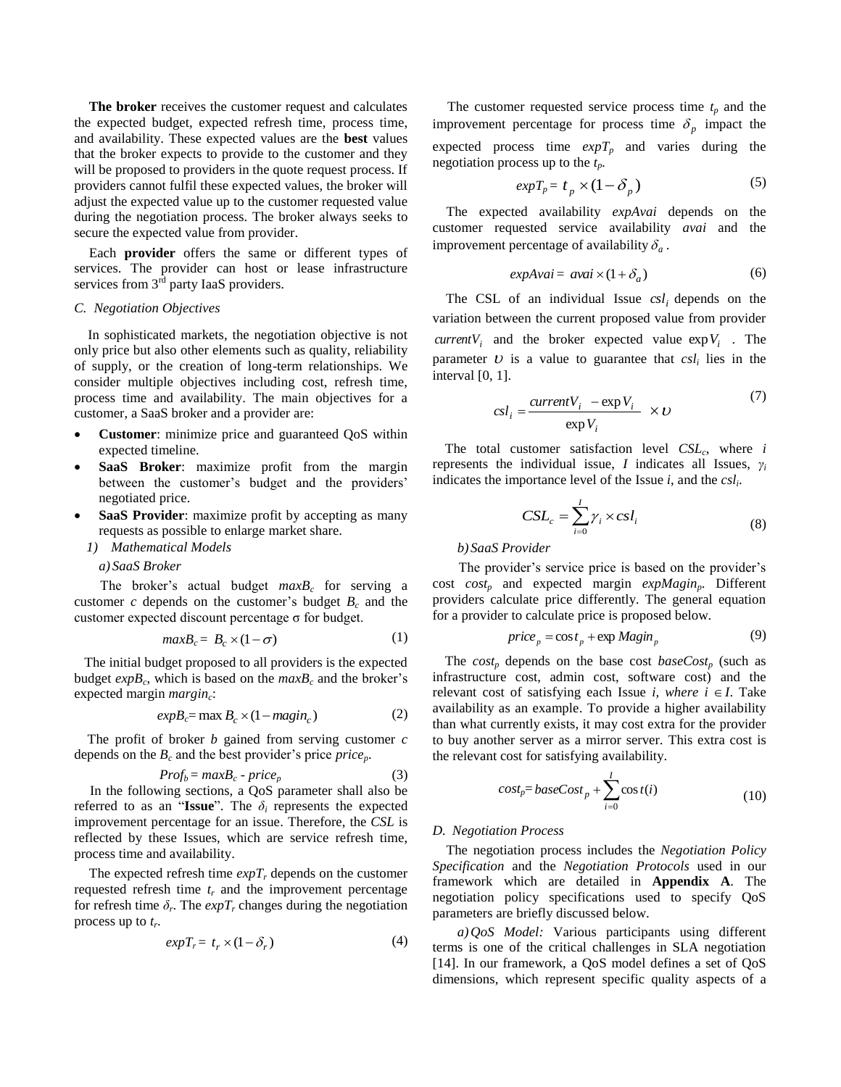**The broker** receives the customer request and calculates the expected budget, expected refresh time, process time, and availability. These expected values are the **best** values that the broker expects to provide to the customer and they will be proposed to providers in the quote request process. If providers cannot fulfil these expected values, the broker will adjust the expected value up to the customer requested value during the negotiation process. The broker always seeks to secure the expected value from provider.

Each **provider** offers the same or different types of services. The provider can host or lease infrastructure services from  $3<sup>rd</sup>$  party IaaS providers.

# *C. Negotiation Objectives*

 In sophisticated markets, the negotiation objective is not only price but also other elements such as quality, reliability of supply, or the creation of long-term relationships. We consider multiple objectives including cost, refresh time, process time and availability. The main objectives for a customer, a SaaS broker and a provider are:

- **Customer**: minimize price and guaranteed QoS within expected timeline.
- **SaaS Broker**: maximize profit from the margin between the customer's budget and the providers' negotiated price.
- **SaaS Provider**: maximize profit by accepting as many requests as possible to enlarge market share.
	- *1) Mathematical Models*

*a) SaaS Broker*

 The broker"s actual budget *maxB<sup>c</sup>* for serving a customer  $c$  depends on the customer's budget  $B_c$  and the customer expected discount percentage σ for budget.

$$
maxB_c = B_c \times (1 - \sigma) \tag{1}
$$

 The initial budget proposed to all providers is the expected budget  $expB_c$ , which is based on the  $maxB_c$  and the broker's expected margin *margin<sup>c</sup>* :

$$
expBc=max Bc \times (1-maginc)
$$
 (2)

The profit of broker *b* gained from serving customer *c* depends on the *B<sup>c</sup>* and the best provider"s price *pricep*.

$$
Prof_b = maxB_c - price_p \tag{3}
$$

In the following sections, a QoS parameter shall also be referred to as an "Issue". The  $\delta_i$  represents the expected improvement percentage for an issue. Therefore, the *CSL* is reflected by these Issues, which are service refresh time, process time and availability.

The expected refresh time *expT<sup>r</sup>* depends on the customer requested refresh time  $t_r$  and the improvement percentage for refresh time  $\delta_r$ . The  $expT_r$  changes during the negotiation process up to *t<sup>r</sup>* .

$$
expT_r = t_r \times (1 - \delta_r) \tag{4}
$$

The customer requested service process time *t<sup>p</sup>* and the improvement percentage for process time  $\delta_p$  impact the expected process time  $expT_p$  and varies during the negotiation process up to the *tp.*

$$
expT_p = t_p \times (1 - \delta_p) \tag{5}
$$

 The expected availability *expAvai* depends on the customer requested service availability *avai* and the improvement percentage of availability  $\delta_a$ .

$$
expAvai = avai \times (1 + \delta_a)
$$
 (6)

The CSL of an individual Issue  $csl_i$  depends on the variation between the current proposed value from provider *current*<sup> $V_i$ </sup> and the broker expected value  $\exp V_i$ . The parameter  $U$  is a value to guarantee that  $csl<sub>i</sub>$  lies in the interval [0, 1].

$$
csl_i = \frac{currentV_i - expV_i}{expV_i} \times U
$$
 (7)

The total customer satisfaction level *CSL<sup>c</sup>* , where *i*  represents the individual issue, *I* indicates all Issues, *γ<sup>i</sup>* indicates the importance level of the Issue *i*, and the *csl<sup>i</sup>* .

$$
CSL_c = \sum_{i=0}^{I} \gamma_i \times csI_i
$$
 (8)

*b) SaaS Provider*

The provider's service price is based on the provider's cost *cost<sup>p</sup>* and expected margin *expMaginp*. Different providers calculate price differently. The general equation for a provider to calculate price is proposed below.

$$
price_p = \cos t_p + \exp M \alpha \sin_p \tag{9}
$$

The  $cost_p$  depends on the base cost  $baseCost_p$  (such as infrastructure cost, admin cost, software cost) and the relevant cost of satisfying each Issue *i*, where  $i \in I$ . Take availability as an example. To provide a higher availability than what currently exists, it may cost extra for the provider to buy another server as a mirror server. This extra cost is the relevant cost for satisfying availability.

$$
cost_p = baseCost_p + \sum_{i=0}^{I} \cos t(i)
$$
 (10)

### *D. Negotiation Process*

 The negotiation process includes the *Negotiation Policy Specification* and the *Negotiation Protocols* used in our framework which are detailed in **Appendix A**. The negotiation policy specifications used to specify QoS parameters are briefly discussed below.

*a)QoS Model:* Various participants using different terms is one of the critical challenges in SLA negotiation [\[14\].](#page-7-8) In our framework, a QoS model defines a set of QoS dimensions, which represent specific quality aspects of a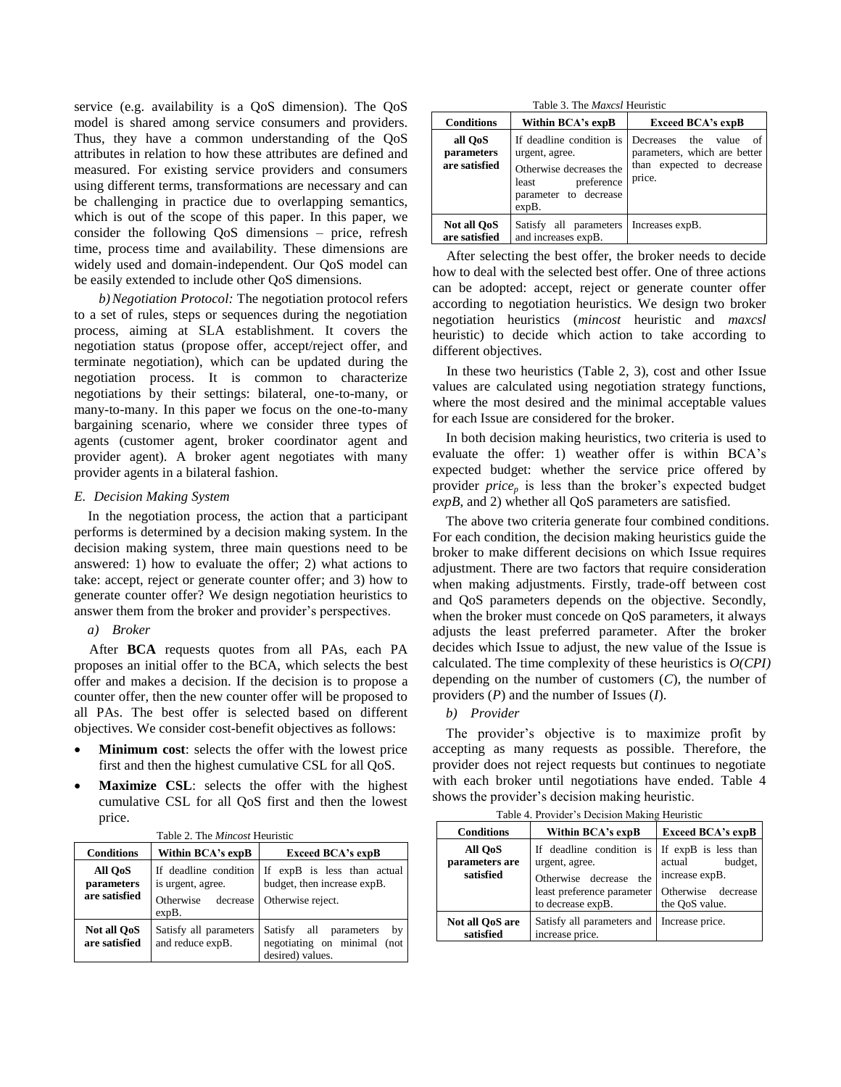service (e.g. availability is a QoS dimension). The QoS model is shared among service consumers and providers. Thus, they have a common understanding of the QoS attributes in relation to how these attributes are defined and measured. For existing service providers and consumers using different terms, transformations are necessary and can be challenging in practice due to overlapping semantics, which is out of the scope of this paper. In this paper, we consider the following QoS dimensions – price, refresh time, process time and availability. These dimensions are widely used and domain-independent. Our QoS model can be easily extended to include other QoS dimensions.

*b)Negotiation Protocol:* The negotiation protocol refers to a set of rules, steps or sequences during the negotiation process, aiming at SLA establishment. It covers the negotiation status (propose offer, accept/reject offer, and terminate negotiation), which can be updated during the negotiation process. It is common to characterize negotiations by their settings: bilateral, one-to-many, or many-to-many. In this paper we focus on the one-to-many bargaining scenario, where we consider three types of agents (customer agent, broker coordinator agent and provider agent). A broker agent negotiates with many provider agents in a bilateral fashion.

# *E. Decision Making System*

 In the negotiation process, the action that a participant performs is determined by a decision making system. In the decision making system, three main questions need to be answered: 1) how to evaluate the offer; 2) what actions to take: accept, reject or generate counter offer; and 3) how to generate counter offer? We design negotiation heuristics to answer them from the broker and provider's perspectives.

# *a) Broker*

After **BCA** requests quotes from all PAs, each PA proposes an initial offer to the BCA, which selects the best offer and makes a decision. If the decision is to propose a counter offer, then the new counter offer will be proposed to all PAs. The best offer is selected based on different objectives. We consider cost-benefit objectives as follows:

- **Minimum cost**: selects the offer with the lowest price first and then the highest cumulative CSL for all QoS.
- **Maximize CSL**: selects the offer with the highest cumulative CSL for all QoS first and then the lowest price.

| Table 2. The <i>Mincost</i> Heuristic  |  |
|----------------------------------------|--|
| $W(4,1,1, \ldots, D(A), 1, \ldots, D)$ |  |

| <b>Conditions</b>                      | Within BCA's expB                                                            | Exceed BCA's expB                                                                  |
|----------------------------------------|------------------------------------------------------------------------------|------------------------------------------------------------------------------------|
| All OoS<br>parameters<br>are satisfied | If deadline condition<br>is urgent, agree.<br>Otherwise<br>decrease<br>expB. | If expB is less than actual<br>budget, then increase expB.<br>Otherwise reject.    |
| Not all OoS<br>are satisfied           | Satisfy all parameters<br>and reduce expB.                                   | Satisfy all<br>by<br>parameters<br>negotiating on minimal (not<br>desired) values. |

| Table 3. The <i>Maxcsl</i> Heuristic |  |
|--------------------------------------|--|
|--------------------------------------|--|

| <b>Conditions</b>                      | Within BCA's expB                                                                                                                 | <b>Exceed BCA's expB</b>                                                                   |
|----------------------------------------|-----------------------------------------------------------------------------------------------------------------------------------|--------------------------------------------------------------------------------------------|
| all OoS<br>parameters<br>are satisfied | If deadline condition is<br>urgent, agree.<br>Otherwise decreases the<br>preference<br>least<br>parameter to decrease<br>$expB$ . | Decreases the value<br>parameters, which are better<br>than expected to decrease<br>price. |
| Not all OoS<br>are satisfied           | Satisfy all parameters<br>and increases expB.                                                                                     | Increases expB.                                                                            |

 After selecting the best offer, the broker needs to decide how to deal with the selected best offer. One of three actions can be adopted: accept, reject or generate counter offer according to negotiation heuristics. We design two broker negotiation heuristics (*mincost* heuristic and *maxcsl* heuristic) to decide which action to take according to different objectives.

 In these two heuristics (Table 2, 3), cost and other Issue values are calculated using negotiation strategy functions, where the most desired and the minimal acceptable values for each Issue are considered for the broker.

In both decision making heuristics, two criteria is used to evaluate the offer: 1) weather offer is within BCA"s expected budget: whether the service price offered by provider *price<sub>p</sub>* is less than the broker's expected budget *expB*, and 2) whether all QoS parameters are satisfied.

The above two criteria generate four combined conditions. For each condition, the decision making heuristics guide the broker to make different decisions on which Issue requires adjustment. There are two factors that require consideration when making adjustments. Firstly, trade-off between cost and QoS parameters depends on the objective. Secondly, when the broker must concede on QoS parameters, it always adjusts the least preferred parameter. After the broker decides which Issue to adjust, the new value of the Issue is calculated. The time complexity of these heuristics is *O(CPI)* depending on the number of customers (*C*), the number of providers (*P*) and the number of Issues (*I*).

# *b) Provider*

The provider's objective is to maximize profit by accepting as many requests as possible. Therefore, the provider does not reject requests but continues to negotiate with each broker until negotiations have ended. Table 4 shows the provider"s decision making heuristic.

| <b>Conditions</b>                      | Within BCA's expB                                                                                                       | Exceed BCA's expB                                                                                   |
|----------------------------------------|-------------------------------------------------------------------------------------------------------------------------|-----------------------------------------------------------------------------------------------------|
| All OoS<br>parameters are<br>satisfied | If deadline condition is<br>urgent, agree.<br>Otherwise decrease the<br>least preference parameter<br>to decrease expB. | If expB is less than<br>budget,<br>actual<br>increase expB.<br>Otherwise decrease<br>the QoS value. |
| Not all OoS are<br>satisfied           | Satisfy all parameters and<br>increase price.                                                                           | Increase price.                                                                                     |

Table 4. Provider"s Decision Making Heuristic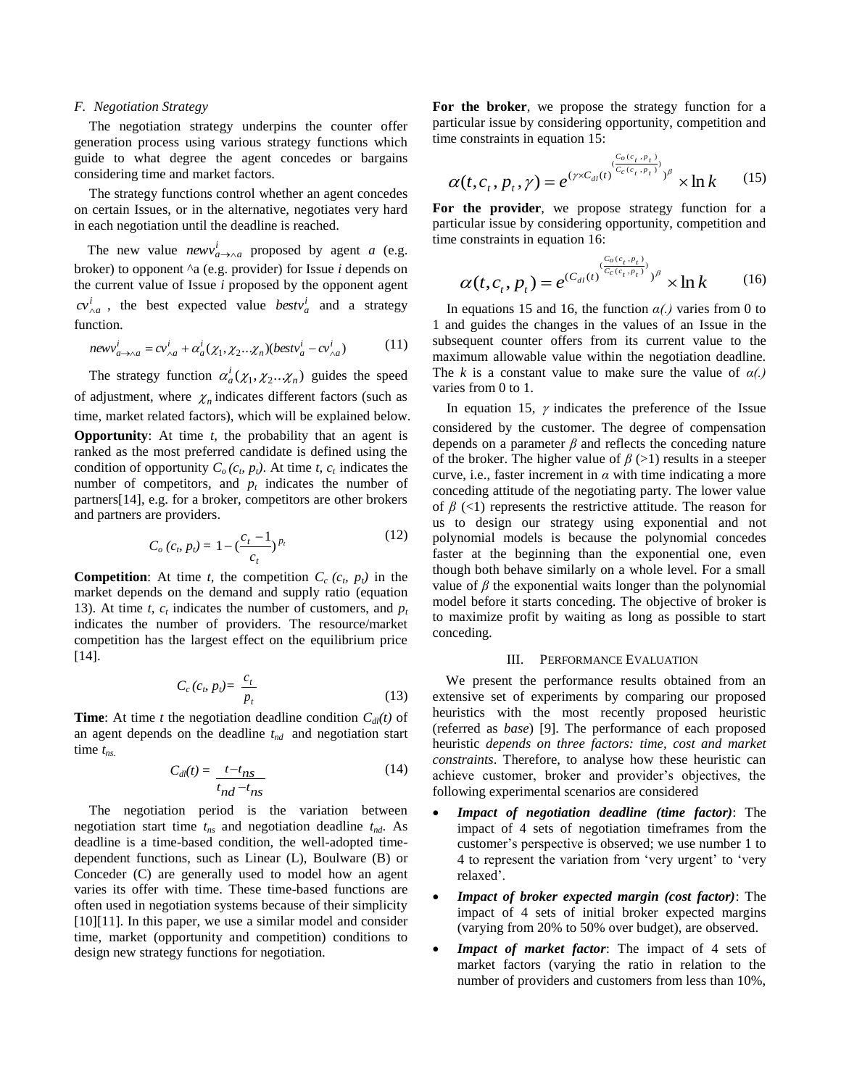## *F. Negotiation Strategy*

The negotiation strategy underpins the counter offer generation process using various strategy functions which guide to what degree the agent concedes or bargains considering time and market factors.

The strategy functions control whether an agent concedes on certain Issues, or in the alternative, negotiates very hard in each negotiation until the deadline is reached.

The new value *new*<sup>*i*</sup><sub>*a* $\rightarrow$   $\land$ *a*</sub> proposed by agent *a* (e.g. broker) to opponent ^a (e.g. provider) for Issue *i* depends on the current value of Issue *i* proposed by the opponent agent  $cv_{\lambda a}^i$ , the best expected value *bestv*<sup>*i*</sup> and a strategy function.

$$
newv_{a \to \wedge a}^i = cv_{\wedge a}^i + \alpha_a^i(\chi_1, \chi_2...\chi_n)(bestv_a^i - cv_{\wedge a}^i)
$$
 (11)

The strategy function  $\alpha_a^i(\chi_1, \chi_2...\chi_n)$  guides the speed of adjustment, where  $\chi_n$  indicates different factors (such as time, market related factors), which will be explained below. **Opportunity**: At time *t,* the probability that an agent is ranked as the most preferred candidate is defined using the condition of opportunity  $C_o(c_b, p_t)$ . At time *t, c<sub>t</sub>* indicates the number of competitors, and  $p_t$  indicates the number of partner[s\[14\],](#page-7-8) e.g. for a broker, competitors are other brokers and partners are providers.

$$
C_o (c_b p_t) = 1 - \left(\frac{c_t - 1}{c_t}\right)^{p_t}
$$
 (12)

**Competition**: At time *t*, the competition  $C_c$  ( $c_p$ ,  $p_t$ ) in the market depends on the demand and supply ratio (equation 13). At time *t*,  $c_t$  indicates the number of customers, and  $p_t$ indicates the number of providers. The resource/market competition has the largest effect on the equilibrium price [\[14\].](#page-7-8)

$$
C_c(c_b \ p_t) = \frac{c_t}{p_t} \tag{13}
$$

**Time**: At time *t* the negotiation deadline condition *Cdl(t)* of an agent depends on the deadline *tnd* and negotiation start time *tns*.

$$
C_{dl}(t) = \frac{t - t_{ns}}{t_{nd} - t_{ns}}
$$
(14)

The negotiation period is the variation between negotiation start time *tns* and negotiation deadline *tnd*. As deadline is a time-based condition, the well-adopted timedependent functions, such as Linear (L), Boulware (B) or Conceder (C) are generally used to model how an agent varies its offer with time. These time-based functions are often used in negotiation systems because of their simplicity [\[10\]\[11\].](#page-7-9) In this paper, we use a similar model and consider time, market (opportunity and competition) conditions to design new strategy functions for negotiation.

**For the broker**, we propose the strategy function for a particular issue by considering opportunity, competition and time constraints in equation 15:

$$
\alpha(t, c_t, p_t, \gamma) = e^{(\gamma \times C_{dl}(t) \frac{(C_o(c_t, p_t))}{C_c(c_t, p_t)})^{\beta}} \times \ln k \qquad (15)
$$

**For the provider**, we propose strategy function for a particular issue by considering opportunity, competition and time constraints in equation 16:

$$
\alpha(t, c_t, p_t) = e^{(C_{di}(t) \frac{(C_o(c_t, p_t))}{C_c(c_t, p_t)})^{\beta}} \times \ln k \tag{16}
$$

In equations 15 and 16, the function  $\alpha(.)$  varies from 0 to 1 and guides the changes in the values of an Issue in the subsequent counter offers from its current value to the maximum allowable value within the negotiation deadline. The *k* is a constant value to make sure the value of *α(.)*  varies from 0 to 1.

In equation 15,  $\gamma$  indicates the preference of the Issue considered by the customer. The degree of compensation depends on a parameter *β* and reflects the conceding nature of the broker. The higher value of  $\beta$  (>1) results in a steeper curve, i.e., faster increment in  $\alpha$  with time indicating a more conceding attitude of the negotiating party. The lower value of  $\beta$  (<1) represents the restrictive attitude. The reason for us to design our strategy using exponential and not polynomial models is because the polynomial concedes faster at the beginning than the exponential one, even though both behave similarly on a whole level. For a small value of  $\beta$  the exponential waits longer than the polynomial model before it starts conceding. The objective of broker is to maximize profit by waiting as long as possible to start conceding.

### III. PERFORMANCE EVALUATION

We present the performance results obtained from an extensive set of experiments by comparing our proposed heuristics with the most recently proposed heuristic (referred as *base*) [\[9\].](#page-7-7) The performance of each proposed heuristic *depends on three factors: time, cost and market constraints*. Therefore, to analyse how these heuristic can achieve customer, broker and provider"s objectives, the following experimental scenarios are considered

- *Impact of negotiation deadline (time factor)*: The impact of 4 sets of negotiation timeframes from the customer"s perspective is observed; we use number 1 to 4 to represent the variation from "very urgent" to "very relaxed".
- *Impact of broker expected margin (cost factor)*: The impact of 4 sets of initial broker expected margins (varying from 20% to 50% over budget), are observed.
- *Impact of market factor*: The impact of 4 sets of market factors (varying the ratio in relation to the number of providers and customers from less than 10%,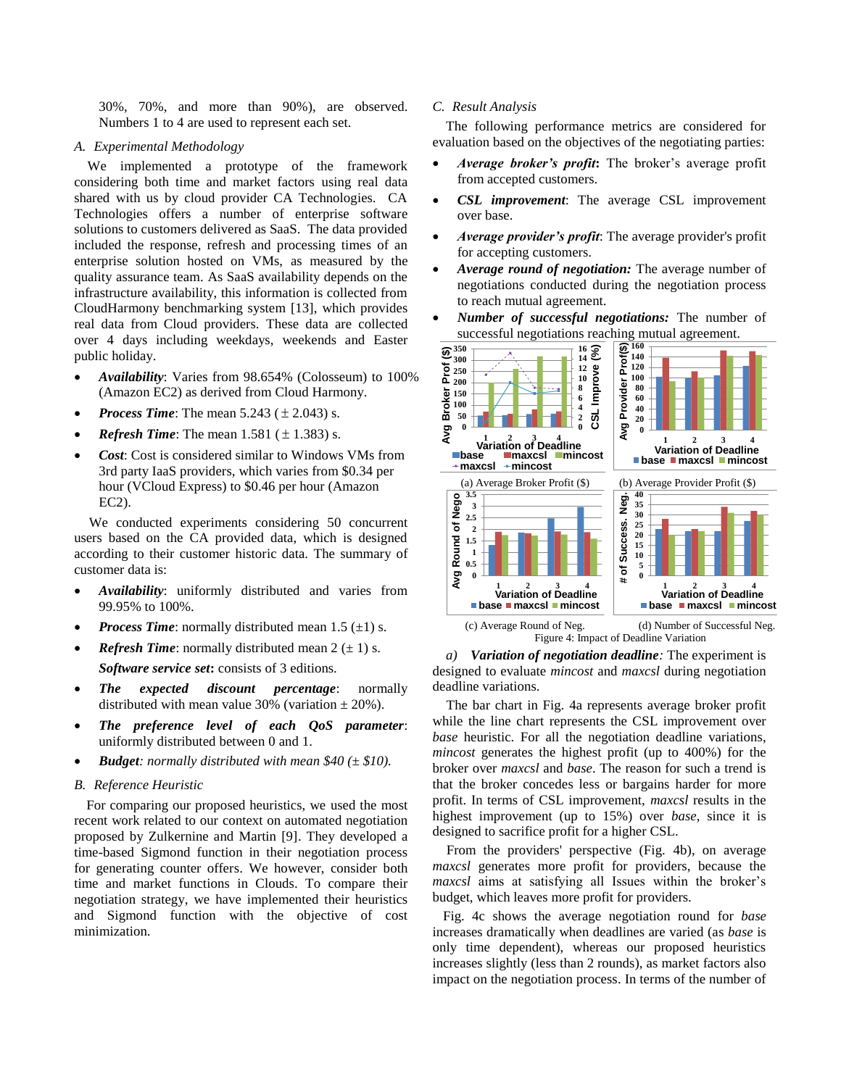30%, 70%, and more than 90%), are observed. Numbers 1 to 4 are used to represent each set.

### *A. Experimental Methodology*

We implemented a prototype of the framework considering both time and market factors using real data shared with us by cloud provider CA Technologies. CA Technologies offers a number of enterprise software solutions to customers delivered as SaaS. The data provided included the response, refresh and processing times of an enterprise solution hosted on VMs, as measured by the quality assurance team. As SaaS availability depends on the infrastructure availability, this information is collected from CloudHarmony benchmarking system [\[13\],](#page-7-10) which provides real data from Cloud providers. These data are collected over 4 days including weekdays, weekends and Easter public holiday.

- *Availability*: Varies from 98.654% (Colosseum) to 100% (Amazon EC2) as derived from Cloud Harmony.
- *Process Time*: The mean  $5.243 \ (\pm 2.043)$  s.
- **Refresh Time**: The mean  $1.581 \ (\pm 1.383)$  s.
- *Cost*: Cost is considered similar to Windows VMs from 3rd party IaaS providers, which varies from \$0.34 per hour (VCloud Express) to \$0.46 per hour (Amazon EC2).

We conducted experiments considering 50 concurrent users based on the CA provided data, which is designed according to their customer historic data. The summary of customer data is:

- *Availability*: uniformly distributed and varies from 99.95% to 100%.
- *Process Time*: normally distributed mean  $1.5 \left(\pm 1\right)$  s.
- *Refresh Time*: normally distributed mean  $2 (\pm 1)$  s. *Software service set***:** consists of 3 editions.
- *The expected discount percentage*: normally distributed with mean value 30% (variation  $\pm$  20%).
- *The preference level of each QoS parameter*: uniformly distributed between 0 and 1.
- *Budget: normally distributed with mean \$40 (± \$10).*

# *B. Reference Heuristic*

For comparing our proposed heuristics, we used the most recent work related to our context on automated negotiation proposed by Zulkernine and Martin [9]. They developed a time-based Sigmond function in their negotiation process for generating counter offers. We however, consider both time and market functions in Clouds. To compare their negotiation strategy, we have implemented their heuristics and Sigmond function with the objective of cost minimization.

# *C. Result Analysis*

The following performance metrics are considered for evaluation based on the objectives of the negotiating parties:

- *Average broker's profit***:** The broker"s average profit from accepted customers.
- *CSL improvement*: The average CSL improvement over base.
- *Average provider's profit*: The average provider's profit for accepting customers.
- *Average round of negotiation:* The average number of negotiations conducted during the negotiation process to reach mutual agreement.
- *Number of successful negotiations:* The number of successful negotiations reaching mutual agreement.



Figure 4: Impact of Deadline Variation

*a) Variation of negotiation deadline:* The experiment is designed to evaluate *mincost* and *maxcsl* during negotiation deadline variations.

 The bar chart in Fig. 4a represents average broker profit while the line chart represents the CSL improvement over *base* heuristic. For all the negotiation deadline variations, *mincost* generates the highest profit (up to 400%) for the broker over *maxcsl* and *base*. The reason for such a trend is that the broker concedes less or bargains harder for more profit. In terms of CSL improvement, *maxcsl* results in the highest improvement (up to 15%) over *base*, since it is designed to sacrifice profit for a higher CSL.

 From the providers' perspective (Fig. 4b), on average *maxcsl* generates more profit for providers, because the *maxcsl* aims at satisfying all Issues within the broker's budget, which leaves more profit for providers.

 Fig. 4c shows the average negotiation round for *base* increases dramatically when deadlines are varied (as *base* is only time dependent), whereas our proposed heuristics increases slightly (less than 2 rounds), as market factors also impact on the negotiation process. In terms of the number of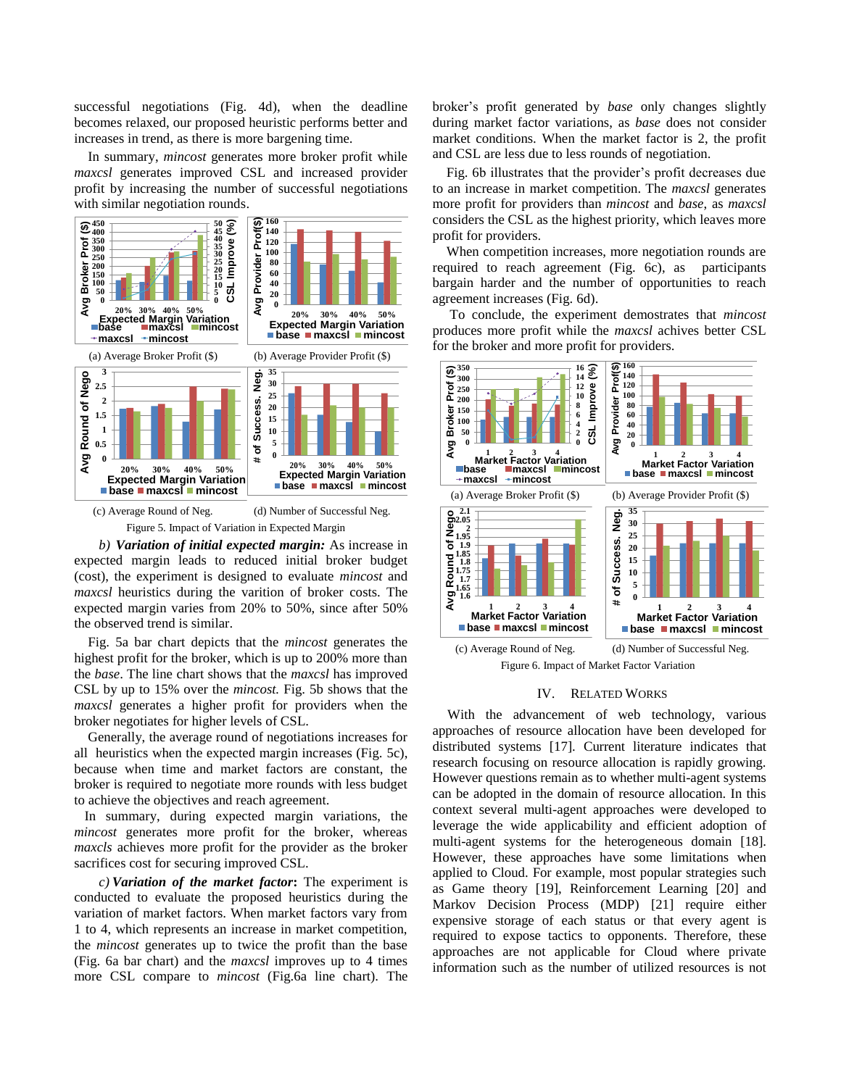successful negotiations (Fig. 4d), when the deadline becomes relaxed, our proposed heuristic performs better and increases in trend, as there is more bargening time.

 In summary, *mincost* generates more broker profit while *maxcsl* generates improved CSL and increased provider profit by increasing the number of successful negotiations with similar negotiation rounds.



*b) Variation of initial expected margin:* As increase in expected margin leads to reduced initial broker budget (cost), the experiment is designed to evaluate *mincost* and *maxcsl* heuristics during the varition of broker costs. The expected margin varies from 20% to 50%, since after 50% the observed trend is similar.

 Fig. 5a bar chart depicts that the *mincost* generates the highest profit for the broker, which is up to 200% more than the *base*. The line chart shows that the *maxcsl* has improved CSL by up to 15% over the *mincost.* Fig. 5b shows that the *maxcsl* generates a higher profit for providers when the broker negotiates for higher levels of CSL.

 Generally, the average round of negotiations increases for all heuristics when the expected margin increases (Fig. 5c), because when time and market factors are constant, the broker is required to negotiate more rounds with less budget to achieve the objectives and reach agreement.

In summary, during expected margin variations, the *mincost* generates more profit for the broker, whereas *maxcls* achieves more profit for the provider as the broker sacrifices cost for securing improved CSL.

*c) Variation of the market factor***:** The experiment is conducted to evaluate the proposed heuristics during the variation of market factors. When market factors vary from 1 to 4, which represents an increase in market competition, the *mincost* generates up to twice the profit than the base (Fig. 6a bar chart) and the *maxcsl* improves up to 4 times more CSL compare to *mincost* (Fig.6a line chart). The broker"s profit generated by *base* only changes slightly during market factor variations, as *base* does not consider market conditions. When the market factor is 2, the profit and CSL are less due to less rounds of negotiation.

Fig. 6b illustrates that the provider's profit decreases due to an increase in market competition. The *maxcsl* generates more profit for providers than *mincost* and *base*, as *maxcsl* considers the CSL as the highest priority, which leaves more profit for providers.

 When competition increases, more negotiation rounds are required to reach agreement (Fig. 6c), as participants bargain harder and the number of opportunities to reach agreement increases (Fig. 6d).

 To conclude, the experiment demostrates that *mincost* produces more profit while the *maxcsl* achives better CSL for the broker and more profit for providers.



#### IV. RELATED WORKS

With the advancement of web technology, various approaches of resource allocation have been developed for distributed systems [\[17\].](#page-7-11) Current literature indicates that research focusing on resource allocation is rapidly growing. However questions remain as to whether multi-agent systems can be adopted in the domain of resource allocation. In this context several multi-agent approaches were developed to leverage the wide applicability and efficient adoption of multi-agent systems for the heterogeneous domain [\[18\].](#page-7-12) However, these approaches have some limitations when applied to Cloud. For example, most popular strategies such as Game theory [\[19\],](#page-7-13) Reinforcement Learning [\[20\]](#page-7-14) and Markov Decision Process (MDP) [\[21\]](#page-7-15) require either expensive storage of each status or that every agent is required to expose tactics to opponents. Therefore, these approaches are not applicable for Cloud where private information such as the number of utilized resources is not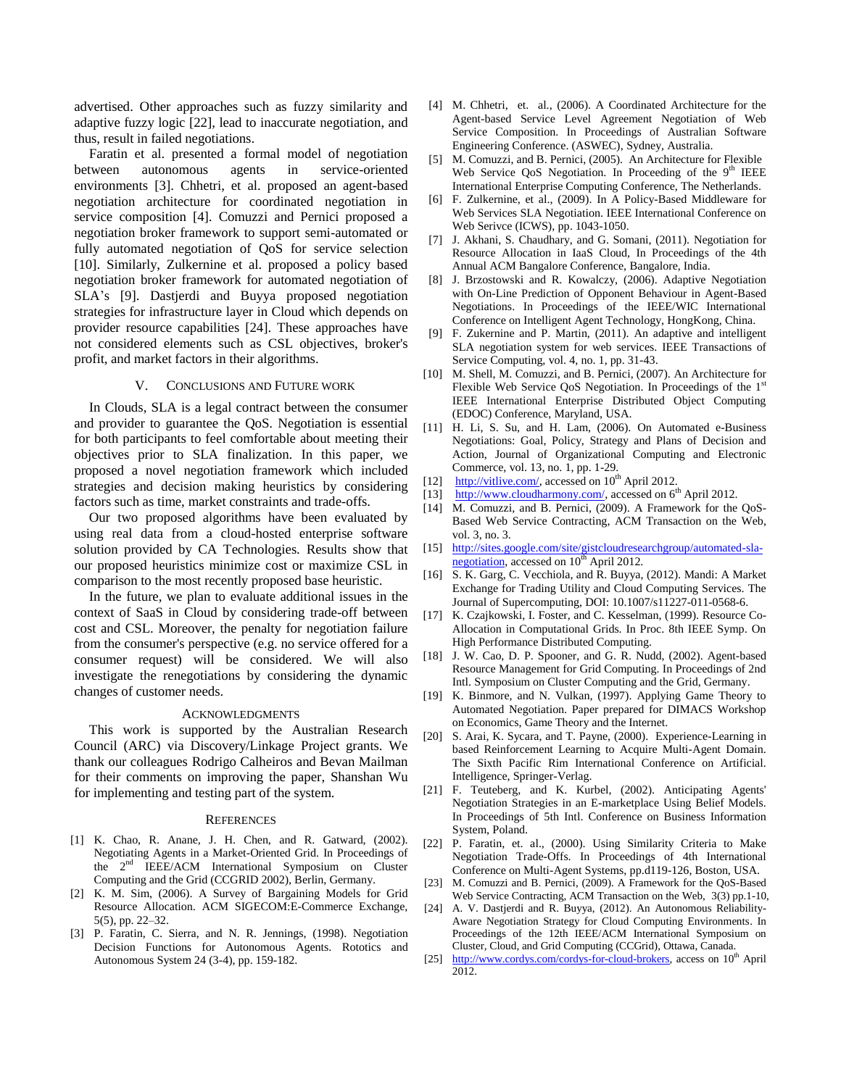advertised. Other approaches such as fuzzy similarity and adaptive fuzzy logic [\[22\],](#page-7-16) lead to inaccurate negotiation, and thus, result in failed negotiations.

Faratin et al. presented a formal model of negotiation between autonomous agents in service-oriented environments [\[3\].](#page-7-17) Chhetri, et al. proposed an agent-based negotiation architecture for coordinated negotiation in service composition [\[4\].](#page-7-18) Comuzzi and Pernici proposed a negotiation broker framework to support semi-automated or fully automated negotiation of QoS for service selection [\[10\].](#page-7-9) Similarly, Zulkernine et al. proposed a policy based negotiation broker framework for automated negotiation of SLA"s [\[9\].](#page-7-7) Dastjerdi and Buyya proposed negotiation strategies for infrastructure layer in Cloud which depends on provider resource capabilities [\[24\].](#page-7-19) These approaches have not considered elements such as CSL objectives, broker's profit, and market factors in their algorithms.

## V. CONCLUSIONS AND FUTURE WORK

In Clouds, SLA is a legal contract between the consumer and provider to guarantee the QoS. Negotiation is essential for both participants to feel comfortable about meeting their objectives prior to SLA finalization. In this paper, we proposed a novel negotiation framework which included strategies and decision making heuristics by considering factors such as time, market constraints and trade-offs.

Our two proposed algorithms have been evaluated by using real data from a cloud-hosted enterprise software solution provided by CA Technologies. Results show that our proposed heuristics minimize cost or maximize CSL in comparison to the most recently proposed base heuristic.

In the future, we plan to evaluate additional issues in the context of SaaS in Cloud by considering trade-off between cost and CSL. Moreover, the penalty for negotiation failure from the consumer's perspective (e.g. no service offered for a consumer request) will be considered. We will also investigate the renegotiations by considering the dynamic changes of customer needs.

#### **ACKNOWLEDGMENTS**

This work is supported by the Australian Research Council (ARC) via Discovery/Linkage Project grants. We thank our colleagues [Rodrigo Calheiros](http://people.eng.unimelb.edu.au/rnc/) and Bevan Mailman for their comments on improving the paper, Shanshan Wu for implementing and testing part of the system.

#### **REFERENCES**

- <span id="page-7-0"></span>[1] K. Chao, R. Anane, J. H. Chen, and R. Gatward, (2002). Negotiating Agents in a Market-Oriented Grid. In Proceedings of the 2<sup>nd</sup> IEEE/ACM International Symposium on Cluster Computing and the Grid (CCGRID 2002), Berlin, Germany.
- <span id="page-7-3"></span>[2] K. M. Sim, (2006). A Survey of Bargaining Models for Grid Resource Allocation. ACM SIGECOM:E-Commerce Exchange, 5(5), pp. 22–32.
- <span id="page-7-17"></span>[3] P. Faratin, C. Sierra, and N. R. Jennings, (1998). Negotiation Decision Functions for Autonomous Agents. Rototics and Autonomous System 24 (3-4), pp. 159-182.
- <span id="page-7-18"></span>[4] M. Chhetri, et. al., (2006). A Coordinated Architecture for the Agent-based Service Level Agreement Negotiation of Web Service Composition. In Proceedings of Australian Software Engineering Conference. (ASWEC), Sydney, Australia.
- [5] M. Comuzzi, and B. Pernici, (2005). An Architecture for Flexible Web Service QoS Negotiation. In Proceeding of the 9<sup>th</sup> IEEE International Enterprise Computing Conference, The Netherlands.
- <span id="page-7-5"></span>[6] F. Zulkernine, et al., (2009). In A Policy-Based Middleware for Web Services SLA Negotiation. IEEE International Conference on Web Serivce (ICWS), pp. 1043-1050.
- [7] J. Akhani, S. Chaudhary, and G. Somani, (2011). Negotiation for Resource Allocation in IaaS Cloud, In Proceedings of the 4th Annual ACM Bangalore Conference, Bangalore, India.
- [8] J. Brzostowski and R. Kowalczy, (2006). Adaptive Negotiation with On-Line Prediction of Opponent Behaviour in Agent-Based Negotiations. In Proceedings of the IEEE/WIC International Conference on Intelligent Agent Technology, HongKong, China.
- <span id="page-7-7"></span>[9] F. Zukernine and P. Martin, (2011). An adaptive and intelligent SLA negotiation system for web services. IEEE Transactions of Service Computing, vol. 4, no. 1, pp. 31-43.
- <span id="page-7-9"></span>[10] M. Shell, M. Comuzzi, and B. Pernici, (2007). An Architecture for Flexible Web Service QoS Negotiation. In Proceedings of the  $1<sup>st</sup>$ IEEE International Enterprise Distributed Object Computing (EDOC) Conference, Maryland, USA.
- <span id="page-7-6"></span>[11] H. Li, S. Su, and H. Lam, (2006). On Automated e-Business Negotiations: Goal, Policy, Strategy and Plans of Decision and Action, Journal of Organizational Computing and Electronic Commerce, vol. 13, no. 1, pp. 1-29.
- <span id="page-7-4"></span>[12] [http://vitlive.com/,](http://vitlive.com/) accessed on  $10^{th}$  April 2012.
- <span id="page-7-10"></span>[13] [http://www.cloudharmony.com/,](http://www.cloudharmony.com/) accessed on 6<sup>th</sup> April 2012.
- <span id="page-7-8"></span>[14] M. Comuzzi, and B. Pernici, (2009). A Framework for the QoS-Based Web Service Contracting, ACM Transaction on the Web, vol. 3, no. 3.
- <span id="page-7-2"></span>[15] [http://sites.google.com/site/gistcloudresearchgroup/automated-sla](http://sites.google.com/site/gistcloudresearchgroup/automated-sla-negotiation)[negotiation,](http://sites.google.com/site/gistcloudresearchgroup/automated-sla-negotiation) accessed on  $10^{th}$  April 2012.
- <span id="page-7-1"></span>[16] S. K. Garg, C. Vecchiola, and R. Buyya, (2012). Mandi: A Market Exchange for Trading Utility and Cloud Computing Services. The Journal of Supercomputing, DOI: 10.1007/s11227-011-0568-6.
- <span id="page-7-11"></span>[17] K. Czajkowski, I. Foster, and C. Kesselman, (1999). Resource Co-Allocation in Computational Grids. In Proc. 8th IEEE Symp. On High Performance Distributed Computing.
- <span id="page-7-12"></span>[18] J. W. Cao, D. P. Spooner, and G. R. Nudd, (2002). Agent-based Resource Management for Grid Computing. In Proceedings of 2nd Intl. Symposium on Cluster Computing and the Grid, Germany.
- <span id="page-7-13"></span>[19] K. Binmore, and N. Vulkan, (1997). Applying Game Theory to Automated Negotiation. Paper prepared for DIMACS Workshop on Economics, Game Theory and the Internet.
- <span id="page-7-14"></span>[20] S. Arai, K. Sycara, and T. Payne, (2000). Experience-Learning in based Reinforcement Learning to Acquire Multi-Agent Domain. The Sixth Pacific Rim International Conference on Artificial. Intelligence, Springer-Verlag.
- <span id="page-7-15"></span>[21] F. Teuteberg, and K. Kurbel, (2002). Anticipating Agents' Negotiation Strategies in an E-marketplace Using Belief Models. In Proceedings of 5th Intl. Conference on Business Information System, Poland.
- <span id="page-7-16"></span>[22] P. Faratin, et. al., (2000). Using Similarity Criteria to Make Negotiation Trade-Offs. In Proceedings of 4th International Conference on Multi-Agent Systems, pp.d119-126, Boston, USA.
- <span id="page-7-20"></span>[23] M. Comuzzi and B. Pernici, (2009). A Framework for the QoS-Based Web Service Contracting, ACM Transaction on the Web, 3(3) pp.1-10,
- <span id="page-7-19"></span>[24] A. V. Dastjerdi and R. Buyya, (2012). [An Autonomous Reliability-](http://www.cloudbus.org/papers/RNCloud-CCGrid2012.pdf)[Aware Negotiation Strategy for Cloud Computing Environments.](http://www.cloudbus.org/papers/RNCloud-CCGrid2012.pdf) In Proceedings of the 12th IEEE/ACM International Symposium on Cluster, Cloud, and Grid Computing (CCGrid), Ottawa, Canada.
- <span id="page-7-21"></span>[25] [http://www.cordys.com/cordys-for-cloud-brokers,](http://www.cordys.com/cordys-for-cloud-brokers) access on  $10<sup>th</sup>$  April 2012.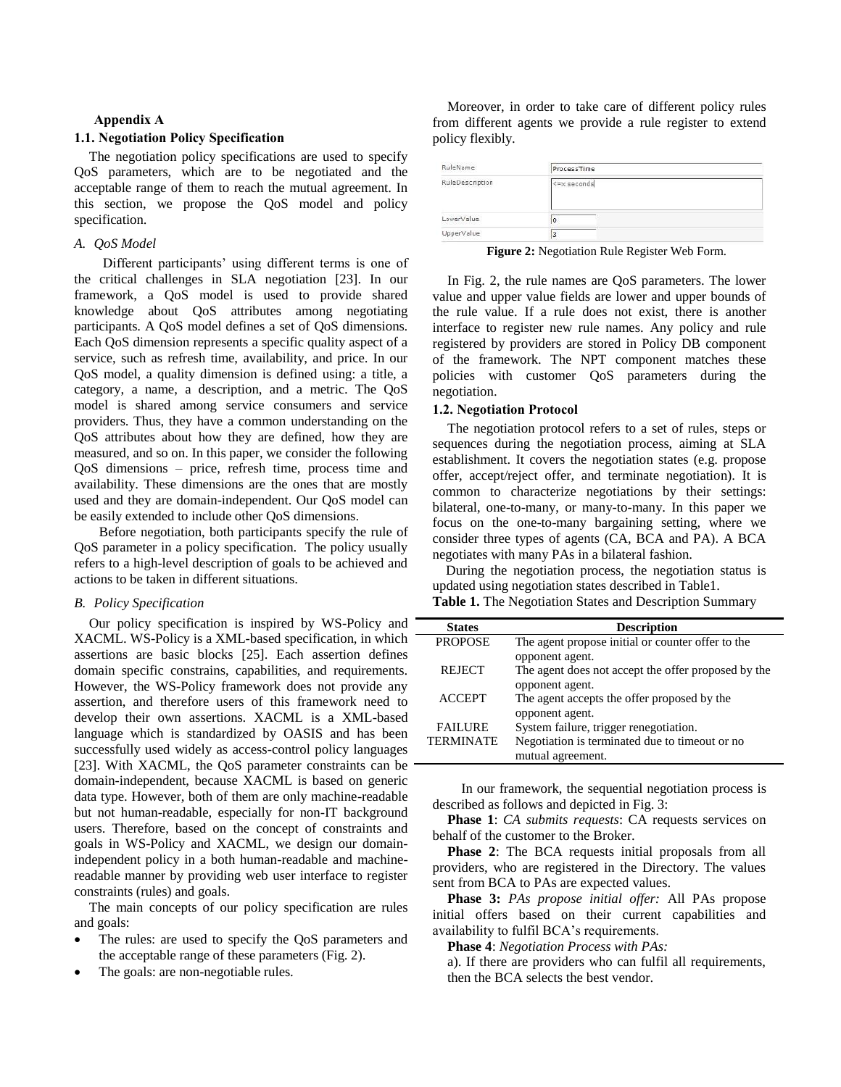# **Appendix A**

# **1.1. Negotiation Policy Specification**

The negotiation policy specifications are used to specify QoS parameters, which are to be negotiated and the acceptable range of them to reach the mutual agreement. In this section, we propose the QoS model and policy specification.

## *A. QoS Model*

Different participants' using different terms is one of the critical challenges in SLA negotiation [\[23\].](#page-7-20) In our framework, a QoS model is used to provide shared knowledge about QoS attributes among negotiating participants. A QoS model defines a set of QoS dimensions. Each QoS dimension represents a specific quality aspect of a service, such as refresh time, availability, and price. In our QoS model, a quality dimension is defined using: a title, a category, a name, a description, and a metric. The QoS model is shared among service consumers and service providers. Thus, they have a common understanding on the QoS attributes about how they are defined, how they are measured, and so on. In this paper, we consider the following QoS dimensions – price, refresh time, process time and availability. These dimensions are the ones that are mostly used and they are domain-independent. Our QoS model can be easily extended to include other QoS dimensions.

 Before negotiation, both participants specify the rule of QoS parameter in a policy specification. The policy usually refers to a high-level description of goals to be achieved and actions to be taken in different situations.

# *B. Policy Specification*

Our policy specification is inspired by WS-Policy and XACML. WS-Policy is a XML-based specification, in which assertions are basic blocks [\[25\].](#page-7-21) Each assertion defines domain specific constrains, capabilities, and requirements. However, the WS-Policy framework does not provide any assertion, and therefore users of this framework need to develop their own assertions. XACML is a XML-based language which is standardized by OASIS and has been successfully used widely as access-control policy languages [\[23\].](#page-7-20) With XACML, the QoS parameter constraints can be  $\blacksquare$ domain-independent, because XACML is based on generic data type. However, both of them are only machine-readable but not human-readable, especially for non-IT background users. Therefore, based on the concept of constraints and goals in WS-Policy and XACML, we design our domainindependent policy in a both human-readable and machinereadable manner by providing web user interface to register constraints (rules) and goals.

The main concepts of our policy specification are rules and goals:

- The rules: are used to specify the QoS parameters and the acceptable range of these parameters (Fig. 2).
- The goals: are non-negotiable rules.

Moreover, in order to take care of different policy rules from different agents we provide a rule register to extend policy flexibly.

| <b>RuleName</b> | ProcessTime      |  |
|-----------------|------------------|--|
| RuleDescription | $\leq x$ seconds |  |
| LowerValue      | $\circ$          |  |
| UpperValue      | 3                |  |

**Figure 2:** Negotiation Rule Register Web Form.

In Fig. 2, the rule names are QoS parameters. The lower value and upper value fields are lower and upper bounds of the rule value. If a rule does not exist, there is another interface to register new rule names. Any policy and rule registered by providers are stored in Policy DB component of the framework. The NPT component matches these policies with customer QoS parameters during the negotiation.

# **1.2. Negotiation Protocol**

The negotiation protocol refers to a set of rules, steps or sequences during the negotiation process, aiming at SLA establishment. It covers the negotiation states (e.g. propose offer, accept/reject offer, and terminate negotiation). It is common to characterize negotiations by their settings: bilateral, one-to-many, or many-to-many. In this paper we focus on the one-to-many bargaining setting, where we consider three types of agents (CA, BCA and PA). A BCA negotiates with many PAs in a bilateral fashion.

During the negotiation process, the negotiation status is updated using negotiation states described in Table1. **Table 1.** The Negotiation States and Description Summary

| <b>States</b>    | <b>Description</b>                                  |
|------------------|-----------------------------------------------------|
| <b>PROPOSE</b>   | The agent propose initial or counter offer to the   |
|                  | opponent agent.                                     |
| <b>REJECT</b>    | The agent does not accept the offer proposed by the |
|                  | opponent agent.                                     |
| <b>ACCEPT</b>    | The agent accepts the offer proposed by the         |
|                  | opponent agent.                                     |
| <b>FAILURE</b>   | System failure, trigger renegotiation.              |
| <b>TERMINATE</b> | Negotiation is terminated due to timeout or no      |
|                  | mutual agreement.                                   |

 In our framework, the sequential negotiation process is described as follows and depicted in Fig. 3:

**Phase 1**: *CA submits requests*: CA requests services on behalf of the customer to the Broker.

**Phase 2**: The BCA requests initial proposals from all providers, who are registered in the Directory. The values sent from BCA to PAs are expected values.

**Phase 3:** *PAs propose initial offer:* All PAs propose initial offers based on their current capabilities and availability to fulfil BCA"s requirements.

**Phase 4**: *Negotiation Process with PAs:*

a). If there are providers who can fulfil all requirements, then the BCA selects the best vendor.